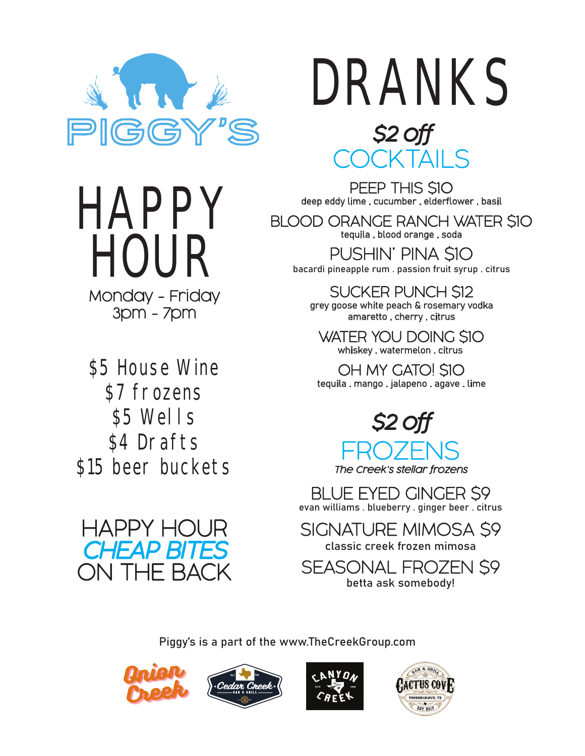

# DRANKS *\$2 off*



BLOOD ORANGE RANCH WATER \$10 tequila . blood orange . soda

PUSHIN' PINA \$10 bacardi pineapple rum . passion fruit syrup . citrus

SUCKER PUNCH \$12 grey goose white peach & rosemary vodka amaretto . cherry . citrus

WATER YOU DOING \$10 whiskey . watermelon . citrus

OH MY GATO! \$10 tequila . mango . jalapeno . agave . lime



*The Creek's stellar frozens*

BLUE EYED GINGER \$9 evan williams . blueberry . ginger beer . citrus

SIGNATURE MIMOSA \$9 classic creek frozen mimosa

SEASONAL FROZEN \$9 betta ask somebody!

Piggy's is a part of the www.TheCreekGroup.com









\$5 House Wine

Monday - Friday 3pm - 7pm

HOUR

**HAPPY** 

\$7 frozens

\$5 Wells

\$4 Drafts

\$15 beer buckets